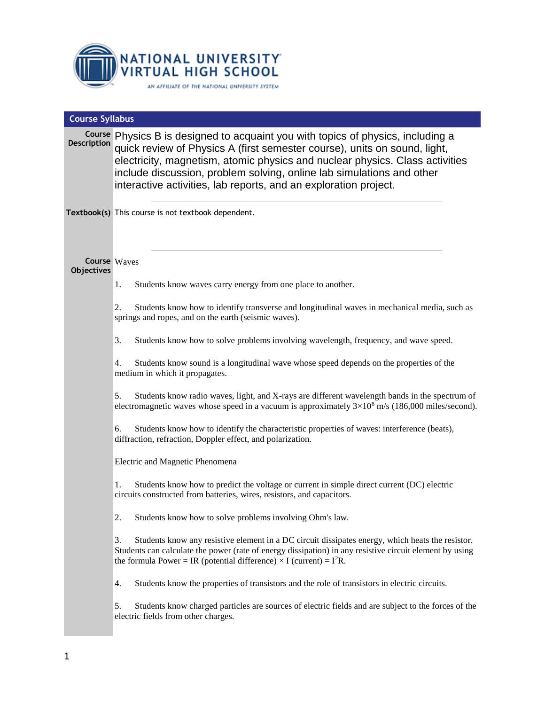

| <b>Course Syllabus</b>                   |                                                                                                                                                                                                                                                                                                                                                                                            |  |  |
|------------------------------------------|--------------------------------------------------------------------------------------------------------------------------------------------------------------------------------------------------------------------------------------------------------------------------------------------------------------------------------------------------------------------------------------------|--|--|
| <b>Description</b>                       | Course Physics B is designed to acquaint you with topics of physics, including a<br>quick review of Physics A (first semester course), units on sound, light,<br>electricity, magnetism, atomic physics and nuclear physics. Class activities<br>include discussion, problem solving, online lab simulations and other<br>interactive activities, lab reports, and an exploration project. |  |  |
|                                          | Textbook(s) This course is not textbook dependent.                                                                                                                                                                                                                                                                                                                                         |  |  |
| <b>Course</b> Waves<br><b>Objectives</b> |                                                                                                                                                                                                                                                                                                                                                                                            |  |  |
|                                          | Students know waves carry energy from one place to another.<br>1.                                                                                                                                                                                                                                                                                                                          |  |  |
|                                          | Students know how to identify transverse and longitudinal waves in mechanical media, such as<br>2.<br>springs and ropes, and on the earth (seismic waves).                                                                                                                                                                                                                                 |  |  |
|                                          | 3.<br>Students know how to solve problems involving wavelength, frequency, and wave speed.                                                                                                                                                                                                                                                                                                 |  |  |
|                                          | Students know sound is a longitudinal wave whose speed depends on the properties of the<br>4.<br>medium in which it propagates.                                                                                                                                                                                                                                                            |  |  |
|                                          | Students know radio waves, light, and X-rays are different wavelength bands in the spectrum of<br>5.<br>electromagnetic waves whose speed in a vacuum is approximately $3\times10^8$ m/s (186,000 miles/second).                                                                                                                                                                           |  |  |
|                                          | Students know how to identify the characteristic properties of waves: interference (beats),<br>6.<br>diffraction, refraction, Doppler effect, and polarization.                                                                                                                                                                                                                            |  |  |
|                                          | Electric and Magnetic Phenomena                                                                                                                                                                                                                                                                                                                                                            |  |  |
|                                          | Students know how to predict the voltage or current in simple direct current (DC) electric<br>1.<br>circuits constructed from batteries, wires, resistors, and capacitors.                                                                                                                                                                                                                 |  |  |
|                                          | 2.<br>Students know how to solve problems involving Ohm's law.                                                                                                                                                                                                                                                                                                                             |  |  |
|                                          | Students know any resistive element in a DC circuit dissipates energy, which heats the resistor.<br>3.<br>Students can calculate the power (rate of energy dissipation) in any resistive circuit element by using<br>the formula Power = IR (potential difference) $\times$ I (current) = I <sup>2</sup> R.                                                                                |  |  |
|                                          | Students know the properties of transistors and the role of transistors in electric circuits.<br>4.                                                                                                                                                                                                                                                                                        |  |  |
|                                          | Students know charged particles are sources of electric fields and are subject to the forces of the<br>5.<br>electric fields from other charges.                                                                                                                                                                                                                                           |  |  |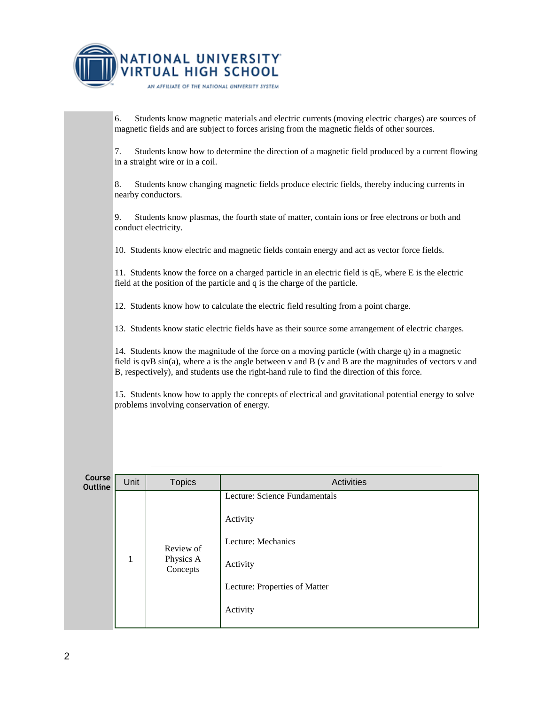

7. Students know how to determine the direction of a magnetic field produced by a current flowing in a straight wire or in a coil. 8. Students know changing magnetic fields produce electric fields, thereby inducing currents in nearby conductors. 9. Students know plasmas, the fourth state of matter, contain ions or free electrons or both and conduct electricity. 10. Students know electric and magnetic fields contain energy and act as vector force fields. 11. Students know the force on a charged particle in an electric field is qE, where E is the electric field at the position of the particle and q is the charge of the particle. 12. Students know how to calculate the electric field resulting from a point charge. 13. Students know static electric fields have as their source some arrangement of electric charges. 14. Students know the magnitude of the force on a moving particle (with charge q) in a magnetic field is qvB sin(a), where a is the angle between v and B (v and B are the magnitudes of vectors v and B, respectively), and students use the right-hand rule to find the direction of this force. 15. Students know how to apply the concepts of electrical and gravitational potential energy to solve problems involving conservation of energy. **Course Course** Unit Topics **Activities** Activities 1 Review of Physics A **Concepts** Lecture: Science Fundamentals Activity Lecture: Mechanics Activity Lecture: Properties of Matter Activity

6. Students know magnetic materials and electric currents (moving electric charges) are sources of

magnetic fields and are subject to forces arising from the magnetic fields of other sources.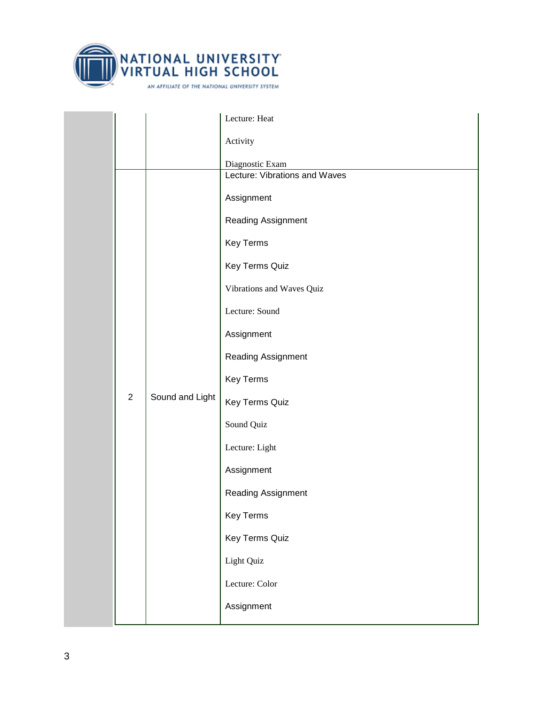

|  |                |                 | Lecture: Heat                 |
|--|----------------|-----------------|-------------------------------|
|  |                |                 | Activity                      |
|  |                |                 | Diagnostic Exam               |
|  |                |                 | Lecture: Vibrations and Waves |
|  |                |                 | Assignment                    |
|  |                |                 | Reading Assignment            |
|  |                |                 | Key Terms                     |
|  |                |                 | Key Terms Quiz                |
|  |                |                 | Vibrations and Waves Quiz     |
|  |                |                 | Lecture: Sound                |
|  |                |                 | Assignment                    |
|  |                |                 | Reading Assignment            |
|  |                |                 | Key Terms                     |
|  | $\overline{2}$ | Sound and Light | Key Terms Quiz                |
|  |                |                 | Sound Quiz                    |
|  |                |                 | Lecture: Light                |
|  |                |                 | Assignment                    |
|  |                |                 | Reading Assignment            |
|  |                |                 | <b>Key Terms</b>              |
|  |                |                 | Key Terms Quiz                |
|  |                |                 | Light Quiz                    |
|  |                |                 | Lecture: Color                |
|  |                |                 | Assignment                    |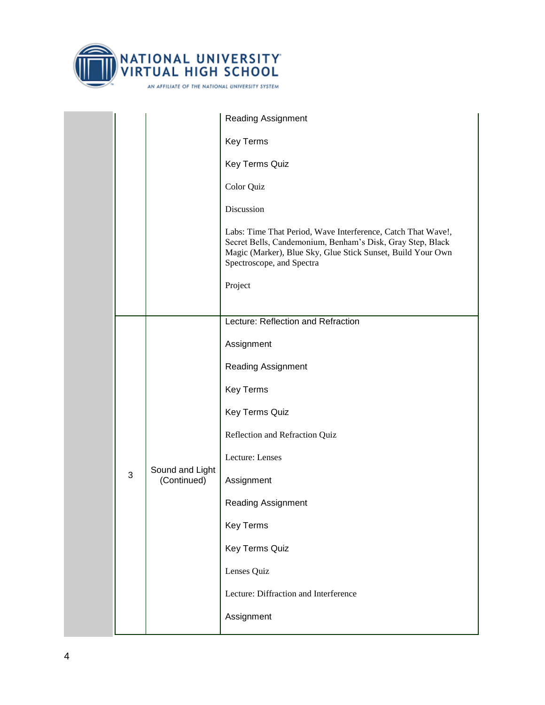

|   |                                | <b>Reading Assignment</b>                                                                                                                                                                                              |
|---|--------------------------------|------------------------------------------------------------------------------------------------------------------------------------------------------------------------------------------------------------------------|
|   |                                | <b>Key Terms</b>                                                                                                                                                                                                       |
|   |                                | Key Terms Quiz                                                                                                                                                                                                         |
|   |                                | Color Quiz                                                                                                                                                                                                             |
|   |                                | Discussion                                                                                                                                                                                                             |
|   |                                | Labs: Time That Period, Wave Interference, Catch That Wave!,<br>Secret Bells, Candemonium, Benham's Disk, Gray Step, Black<br>Magic (Marker), Blue Sky, Glue Stick Sunset, Build Your Own<br>Spectroscope, and Spectra |
|   |                                | Project                                                                                                                                                                                                                |
|   |                                | Lecture: Reflection and Refraction                                                                                                                                                                                     |
|   |                                | Assignment                                                                                                                                                                                                             |
|   |                                | <b>Reading Assignment</b>                                                                                                                                                                                              |
|   | Sound and Light<br>(Continued) | <b>Key Terms</b>                                                                                                                                                                                                       |
|   |                                | Key Terms Quiz                                                                                                                                                                                                         |
|   |                                | Reflection and Refraction Quiz                                                                                                                                                                                         |
|   |                                | Lecture: Lenses                                                                                                                                                                                                        |
| 3 |                                | Assignment                                                                                                                                                                                                             |
|   |                                | <b>Reading Assignment</b>                                                                                                                                                                                              |
|   |                                | <b>Key Terms</b>                                                                                                                                                                                                       |
|   |                                | Key Terms Quiz                                                                                                                                                                                                         |
|   |                                | Lenses Quiz                                                                                                                                                                                                            |
|   |                                | Lecture: Diffraction and Interference                                                                                                                                                                                  |
|   |                                | Assignment                                                                                                                                                                                                             |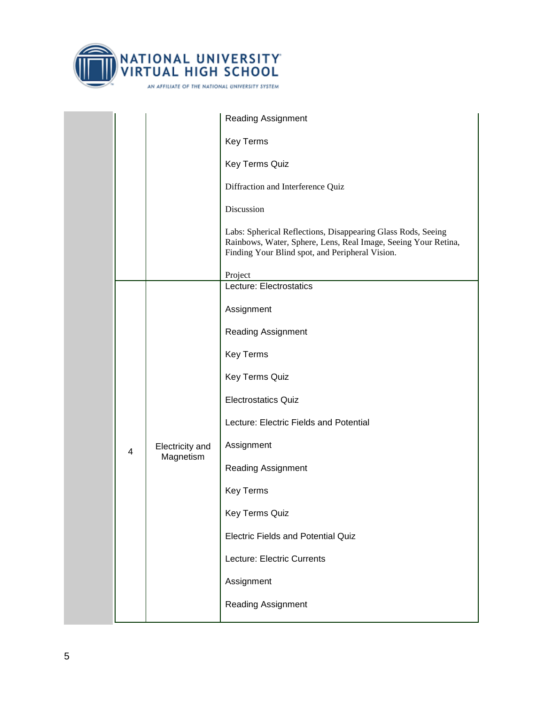

|  |                      |            | <b>Reading Assignment</b>                                                                                                                                                         |
|--|----------------------|------------|-----------------------------------------------------------------------------------------------------------------------------------------------------------------------------------|
|  |                      |            | <b>Key Terms</b>                                                                                                                                                                  |
|  |                      |            | Key Terms Quiz                                                                                                                                                                    |
|  |                      |            | Diffraction and Interference Quiz                                                                                                                                                 |
|  |                      |            | Discussion                                                                                                                                                                        |
|  |                      |            | Labs: Spherical Reflections, Disappearing Glass Rods, Seeing<br>Rainbows, Water, Sphere, Lens, Real Image, Seeing Your Retina,<br>Finding Your Blind spot, and Peripheral Vision. |
|  |                      |            | Project<br>Lecture: Electrostatics                                                                                                                                                |
|  |                      |            |                                                                                                                                                                                   |
|  |                      |            | Assignment                                                                                                                                                                        |
|  |                      |            | <b>Reading Assignment</b>                                                                                                                                                         |
|  |                      |            | <b>Key Terms</b>                                                                                                                                                                  |
|  | Electricity and<br>4 |            | Key Terms Quiz                                                                                                                                                                    |
|  |                      |            | <b>Electrostatics Quiz</b>                                                                                                                                                        |
|  |                      |            | Lecture: Electric Fields and Potential                                                                                                                                            |
|  |                      | Assignment |                                                                                                                                                                                   |
|  |                      | Magnetism  | <b>Reading Assignment</b>                                                                                                                                                         |
|  |                      |            | <b>Key Terms</b>                                                                                                                                                                  |
|  |                      |            | Key Terms Quiz                                                                                                                                                                    |
|  |                      |            | <b>Electric Fields and Potential Quiz</b>                                                                                                                                         |
|  |                      |            | Lecture: Electric Currents                                                                                                                                                        |
|  |                      |            | Assignment                                                                                                                                                                        |
|  |                      |            | Reading Assignment                                                                                                                                                                |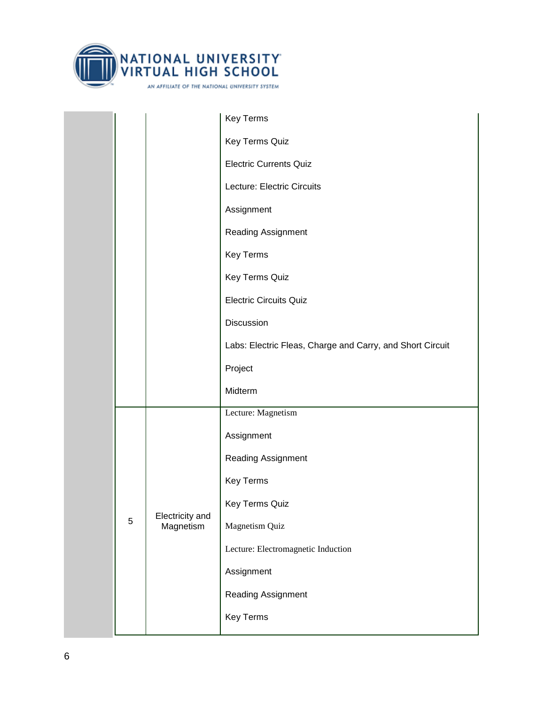

|  |   |                              | Key Terms                                                 |
|--|---|------------------------------|-----------------------------------------------------------|
|  |   |                              | Key Terms Quiz                                            |
|  |   |                              | <b>Electric Currents Quiz</b>                             |
|  |   |                              | Lecture: Electric Circuits                                |
|  |   |                              | Assignment                                                |
|  |   |                              | Reading Assignment                                        |
|  |   |                              | Key Terms                                                 |
|  |   |                              | Key Terms Quiz                                            |
|  |   |                              | <b>Electric Circuits Quiz</b>                             |
|  |   |                              | Discussion                                                |
|  |   |                              | Labs: Electric Fleas, Charge and Carry, and Short Circuit |
|  |   |                              | Project                                                   |
|  |   |                              | Midterm                                                   |
|  |   |                              | Lecture: Magnetism                                        |
|  |   |                              | Assignment                                                |
|  |   | Electricity and<br>Magnetism | Reading Assignment                                        |
|  |   |                              | Key Terms                                                 |
|  |   |                              | Key Terms Quiz                                            |
|  | 5 |                              | Magnetism Quiz                                            |
|  |   |                              | Lecture: Electromagnetic Induction                        |
|  |   |                              | Assignment                                                |
|  |   |                              | Reading Assignment                                        |
|  |   |                              | Key Terms                                                 |
|  |   |                              |                                                           |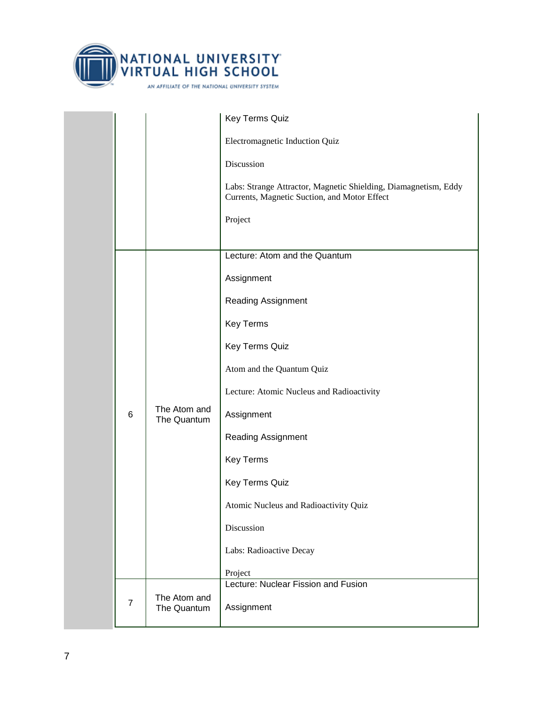

|  |                |                                                                                                                 | Key Terms Quiz                            |
|--|----------------|-----------------------------------------------------------------------------------------------------------------|-------------------------------------------|
|  |                |                                                                                                                 | Electromagnetic Induction Quiz            |
|  |                | Discussion                                                                                                      |                                           |
|  |                | Labs: Strange Attractor, Magnetic Shielding, Diamagnetism, Eddy<br>Currents, Magnetic Suction, and Motor Effect |                                           |
|  |                |                                                                                                                 | Project                                   |
|  |                |                                                                                                                 | Lecture: Atom and the Quantum             |
|  |                |                                                                                                                 | Assignment                                |
|  |                |                                                                                                                 | <b>Reading Assignment</b>                 |
|  |                |                                                                                                                 | <b>Key Terms</b>                          |
|  |                | The Atom and                                                                                                    | Key Terms Quiz                            |
|  |                |                                                                                                                 |                                           |
|  |                |                                                                                                                 | Atom and the Quantum Quiz                 |
|  |                |                                                                                                                 | Lecture: Atomic Nucleus and Radioactivity |
|  | 6              | The Quantum                                                                                                     | Assignment                                |
|  |                |                                                                                                                 | <b>Reading Assignment</b>                 |
|  |                |                                                                                                                 | <b>Key Terms</b>                          |
|  |                |                                                                                                                 | Key Terms Quiz                            |
|  |                |                                                                                                                 | Atomic Nucleus and Radioactivity Quiz     |
|  |                |                                                                                                                 | Discussion                                |
|  |                |                                                                                                                 | Labs: Radioactive Decay                   |
|  |                |                                                                                                                 | Project                                   |
|  |                | The Atom and                                                                                                    | Lecture: Nuclear Fission and Fusion       |
|  | $\overline{7}$ | The Quantum                                                                                                     | Assignment                                |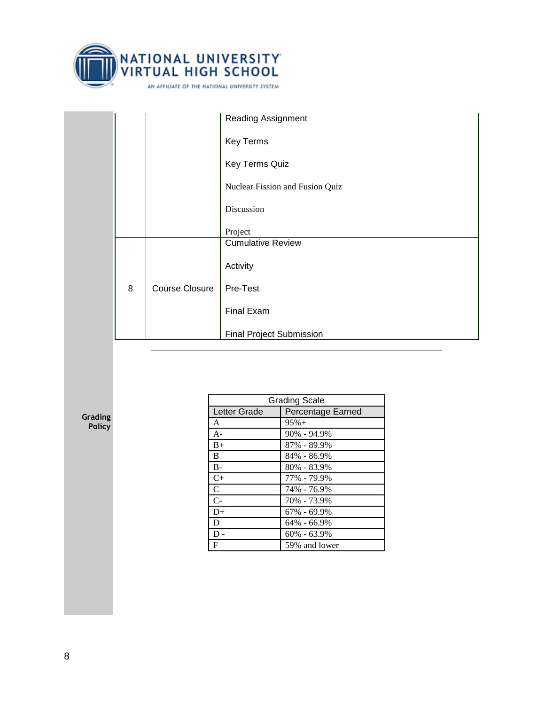

|   |                       | <b>Reading Assignment</b>       |
|---|-----------------------|---------------------------------|
|   |                       | <b>Key Terms</b>                |
|   |                       | Key Terms Quiz                  |
|   |                       | Nuclear Fission and Fusion Quiz |
|   |                       | Discussion                      |
|   |                       | Project                         |
|   |                       | <b>Cumulative Review</b>        |
| 8 | <b>Course Closure</b> | Activity                        |
|   |                       | Pre-Test                        |
|   |                       | Final Exam                      |
|   |                       | <b>Final Project Submission</b> |

**Grading Policy**

| <b>Grading Scale</b> |                          |  |
|----------------------|--------------------------|--|
| Letter Grade         | <b>Percentage Earned</b> |  |
| A                    | $95% +$                  |  |
| $A -$                | $90\% - 94.9\%$          |  |
| $B+$                 | 87% - 89.9%              |  |
| <sub>B</sub>         | 84% - 86.9%              |  |
| $B -$                | $80\% - 83.9\%$          |  |
| $C+$                 | 77% - 79.9%              |  |
| $\mathcal{C}$        | 74% - 76.9%              |  |
| $C-$                 | 70% - 73.9%              |  |
| $D+$                 | $67\% - 69.9\%$          |  |
| D                    | $64\% - 66.9\%$          |  |
| D                    | $60\% - 63.9\%$          |  |
| F                    | 59% and lower            |  |